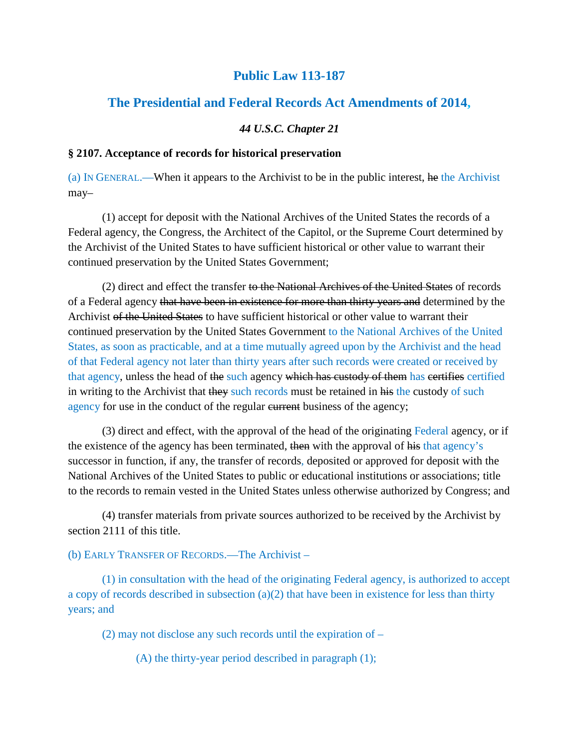# **Public Law 113-187**

# **The Presidential and Federal Records Act Amendments of 2014,**

## *44 U.S.C. Chapter 21*

### **§ 2107. Acceptance of records for historical preservation**

(a) IN GENERAL.—When it appears to the Archivist to be in the public interest, he the Archivist may–

(1) accept for deposit with the National Archives of the United States the records of a Federal agency, the Congress, the Architect of the Capitol, or the Supreme Court determined by the Archivist of the United States to have sufficient historical or other value to warrant their continued preservation by the United States Government;

(2) direct and effect the transfer to the National Archives of the United States of records of a Federal agency that have been in existence for more than thirty years and determined by the Archivist of the United States to have sufficient historical or other value to warrant their continued preservation by the United States Government to the National Archives of the United States, as soon as practicable, and at a time mutually agreed upon by the Archivist and the head of that Federal agency not later than thirty years after such records were created or received by that agency, unless the head of the such agency which has custody of them has certifies certified in writing to the Archivist that they such records must be retained in his the custody of such agency for use in the conduct of the regular eurrent business of the agency;

(3) direct and effect, with the approval of the head of the originating Federal agency, or if the existence of the agency has been terminated, then with the approval of his that agency's successor in function, if any, the transfer of records, deposited or approved for deposit with the National Archives of the United States to public or educational institutions or associations; title to the records to remain vested in the United States unless otherwise authorized by Congress; and

(4) transfer materials from private sources authorized to be received by the Archivist by section 2111 of this title.

## (b) EARLY TRANSFER OF RECORDS.—The Archivist –

(1) in consultation with the head of the originating Federal agency, is authorized to accept a copy of records described in subsection  $(a)(2)$  that have been in existence for less than thirty years; and

(2) may not disclose any such records until the expiration of –

(A) the thirty-year period described in paragraph (1);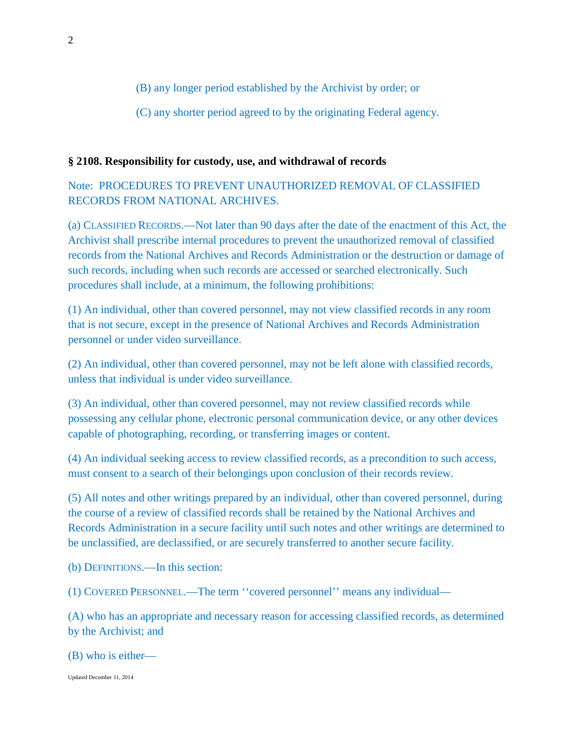(B) any longer period established by the Archivist by order; or

(C) any shorter period agreed to by the originating Federal agency.

### **§ 2108. Responsibility for custody, use, and withdrawal of records**

Note: PROCEDURES TO PREVENT UNAUTHORIZED REMOVAL OF CLASSIFIED RECORDS FROM NATIONAL ARCHIVES.

(a) CLASSIFIED RECORDS.—Not later than 90 days after the date of the enactment of this Act, the Archivist shall prescribe internal procedures to prevent the unauthorized removal of classified records from the National Archives and Records Administration or the destruction or damage of such records, including when such records are accessed or searched electronically. Such procedures shall include, at a minimum, the following prohibitions:

(1) An individual, other than covered personnel, may not view classified records in any room that is not secure, except in the presence of National Archives and Records Administration personnel or under video surveillance.

(2) An individual, other than covered personnel, may not be left alone with classified records, unless that individual is under video surveillance.

(3) An individual, other than covered personnel, may not review classified records while possessing any cellular phone, electronic personal communication device, or any other devices capable of photographing, recording, or transferring images or content.

(4) An individual seeking access to review classified records, as a precondition to such access, must consent to a search of their belongings upon conclusion of their records review.

(5) All notes and other writings prepared by an individual, other than covered personnel, during the course of a review of classified records shall be retained by the National Archives and Records Administration in a secure facility until such notes and other writings are determined to be unclassified, are declassified, or are securely transferred to another secure facility.

(b) DEFINITIONS.—In this section:

(1) COVERED PERSONNEL.—The term ''covered personnel'' means any individual—

(A) who has an appropriate and necessary reason for accessing classified records, as determined by the Archivist; and

(B) who is either—

Updated December 11, 2014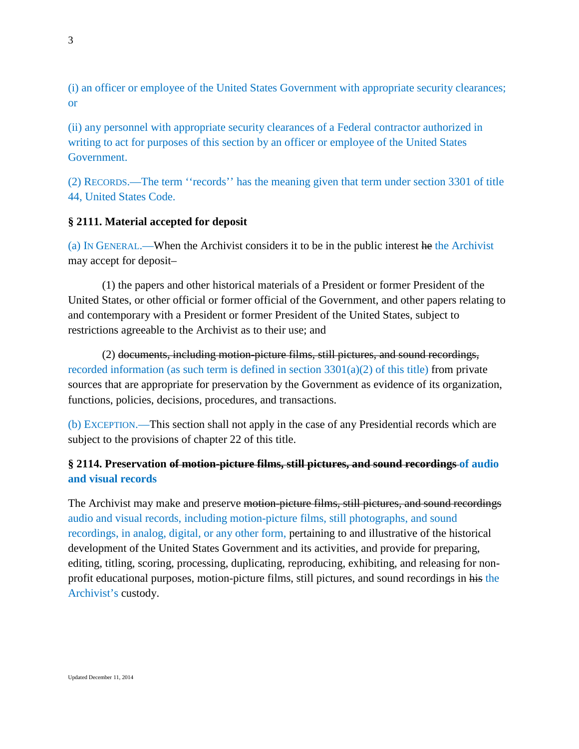(i) an officer or employee of the United States Government with appropriate security clearances; or

(ii) any personnel with appropriate security clearances of a Federal contractor authorized in writing to act for purposes of this section by an officer or employee of the United States Government.

(2) RECORDS.—The term ''records'' has the meaning given that term under section 3301 of title 44, United States Code.

## **§ 2111. Material accepted for deposit**

(a) IN GENERAL.—When the Archivist considers it to be in the public interest he the Archivist may accept for deposit–

(1) the papers and other historical materials of a President or former President of the United States, or other official or former official of the Government, and other papers relating to and contemporary with a President or former President of the United States, subject to restrictions agreeable to the Archivist as to their use; and

(2) documents, including motion-picture films, still pictures, and sound recordings, recorded information (as such term is defined in section  $3301(a)(2)$  of this title) from private sources that are appropriate for preservation by the Government as evidence of its organization, functions, policies, decisions, procedures, and transactions.

(b) EXCEPTION.—This section shall not apply in the case of any Presidential records which are subject to the provisions of chapter 22 of this title.

## **§ 2114. Preservation of motion-picture films, still pictures, and sound recordings of audio and visual records**

The Archivist may make and preserve motion-picture films, still pictures, and sound recordings audio and visual records, including motion-picture films, still photographs, and sound recordings, in analog, digital, or any other form, pertaining to and illustrative of the historical development of the United States Government and its activities, and provide for preparing, editing, titling, scoring, processing, duplicating, reproducing, exhibiting, and releasing for nonprofit educational purposes, motion-picture films, still pictures, and sound recordings in his the Archivist's custody.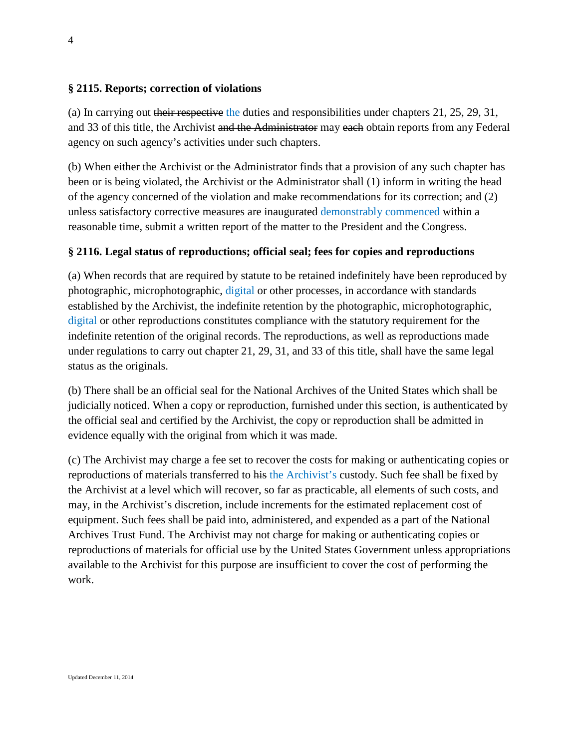### **§ 2115. Reports; correction of violations**

(a) In carrying out their respective the duties and responsibilities under chapters 21, 25, 29, 31, and 33 of this title, the Archivist and the Administrator may each obtain reports from any Federal agency on such agency's activities under such chapters.

(b) When either the Archivist or the Administrator finds that a provision of any such chapter has been or is being violated, the Archivist or the Administrator shall (1) inform in writing the head of the agency concerned of the violation and make recommendations for its correction; and (2) unless satisfactory corrective measures are inaugurated demonstrably commenced within a reasonable time, submit a written report of the matter to the President and the Congress.

#### **§ 2116. Legal status of reproductions; official seal; fees for copies and reproductions**

(a) When records that are required by statute to be retained indefinitely have been reproduced by photographic, microphotographic, digital or other processes, in accordance with standards established by the Archivist, the indefinite retention by the photographic, microphotographic, digital or other reproductions constitutes compliance with the statutory requirement for the indefinite retention of the original records. The reproductions, as well as reproductions made under regulations to carry out chapter 21, 29, 31, and 33 of this title, shall have the same legal status as the originals.

(b) There shall be an official seal for the National Archives of the United States which shall be judicially noticed. When a copy or reproduction, furnished under this section, is authenticated by the official seal and certified by the Archivist, the copy or reproduction shall be admitted in evidence equally with the original from which it was made.

(c) The Archivist may charge a fee set to recover the costs for making or authenticating copies or reproductions of materials transferred to his the Archivist's custody. Such fee shall be fixed by the Archivist at a level which will recover, so far as practicable, all elements of such costs, and may, in the Archivist's discretion, include increments for the estimated replacement cost of equipment. Such fees shall be paid into, administered, and expended as a part of the National Archives Trust Fund. The Archivist may not charge for making or authenticating copies or reproductions of materials for official use by the United States Government unless appropriations available to the Archivist for this purpose are insufficient to cover the cost of performing the work.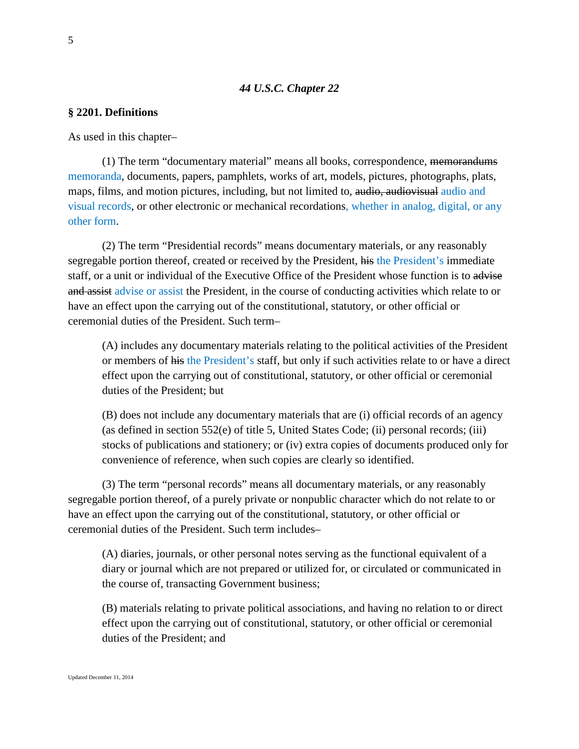#### *44 U.S.C. Chapter 22*

#### **§ 2201. Definitions**

As used in this chapter–

(1) The term "documentary material" means all books, correspondence, memorandums memoranda, documents, papers, pamphlets, works of art, models, pictures, photographs, plats, maps, films, and motion pictures, including, but not limited to, audio, audiovisual audio and visual records, or other electronic or mechanical recordations, whether in analog, digital, or any other form.

(2) The term "Presidential records" means documentary materials, or any reasonably segregable portion thereof, created or received by the President, his the President's immediate staff, or a unit or individual of the Executive Office of the President whose function is to advise and assist advise or assist the President, in the course of conducting activities which relate to or have an effect upon the carrying out of the constitutional, statutory, or other official or ceremonial duties of the President. Such term–

(A) includes any documentary materials relating to the political activities of the President or members of his the President's staff, but only if such activities relate to or have a direct effect upon the carrying out of constitutional, statutory, or other official or ceremonial duties of the President; but

(B) does not include any documentary materials that are (i) official records of an agency (as defined in section 552(e) of title 5, United States Code; (ii) personal records; (iii) stocks of publications and stationery; or (iv) extra copies of documents produced only for convenience of reference, when such copies are clearly so identified.

(3) The term "personal records" means all documentary materials, or any reasonably segregable portion thereof, of a purely private or nonpublic character which do not relate to or have an effect upon the carrying out of the constitutional, statutory, or other official or ceremonial duties of the President. Such term includes–

(A) diaries, journals, or other personal notes serving as the functional equivalent of a diary or journal which are not prepared or utilized for, or circulated or communicated in the course of, transacting Government business;

(B) materials relating to private political associations, and having no relation to or direct effect upon the carrying out of constitutional, statutory, or other official or ceremonial duties of the President; and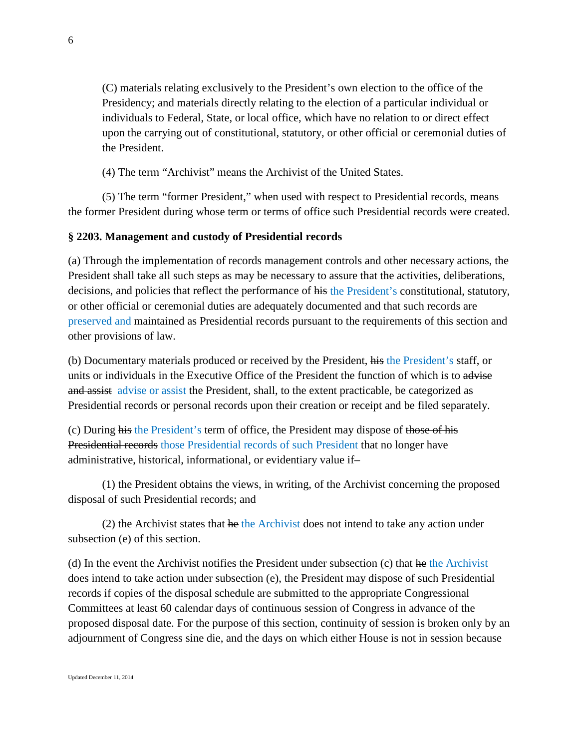(C) materials relating exclusively to the President's own election to the office of the Presidency; and materials directly relating to the election of a particular individual or individuals to Federal, State, or local office, which have no relation to or direct effect upon the carrying out of constitutional, statutory, or other official or ceremonial duties of the President.

(4) The term "Archivist" means the Archivist of the United States.

(5) The term "former President," when used with respect to Presidential records, means the former President during whose term or terms of office such Presidential records were created.

## **§ 2203. Management and custody of Presidential records**

(a) Through the implementation of records management controls and other necessary actions, the President shall take all such steps as may be necessary to assure that the activities, deliberations, decisions, and policies that reflect the performance of his the President's constitutional, statutory, or other official or ceremonial duties are adequately documented and that such records are preserved and maintained as Presidential records pursuant to the requirements of this section and other provisions of law.

(b) Documentary materials produced or received by the President, his the President's staff, or units or individuals in the Executive Office of the President the function of which is to advise and assist advise or assist the President, shall, to the extent practicable, be categorized as Presidential records or personal records upon their creation or receipt and be filed separately.

(c) During his the President's term of office, the President may dispose of those of his Presidential records those Presidential records of such President that no longer have administrative, historical, informational, or evidentiary value if–

(1) the President obtains the views, in writing, of the Archivist concerning the proposed disposal of such Presidential records; and

 $(2)$  the Archivist states that he the Archivist does not intend to take any action under subsection (e) of this section.

(d) In the event the Archivist notifies the President under subsection (c) that he the Archivist does intend to take action under subsection (e), the President may dispose of such Presidential records if copies of the disposal schedule are submitted to the appropriate Congressional Committees at least 60 calendar days of continuous session of Congress in advance of the proposed disposal date. For the purpose of this section, continuity of session is broken only by an adjournment of Congress sine die, and the days on which either House is not in session because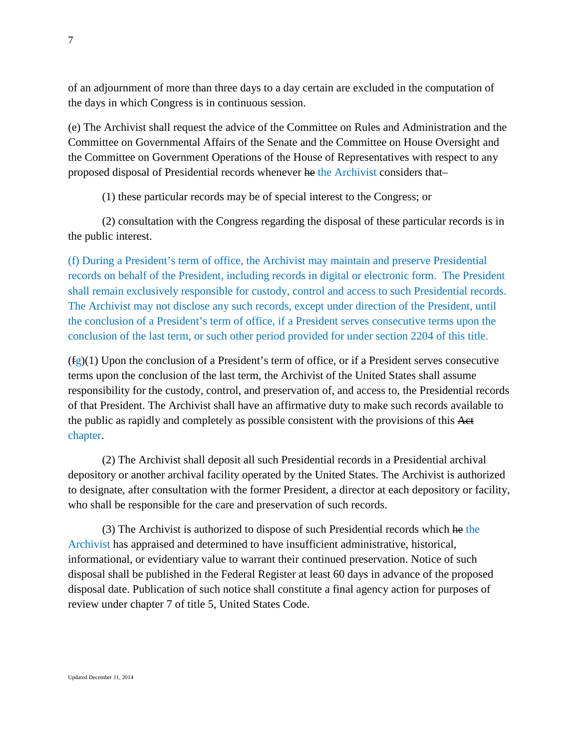of an adjournment of more than three days to a day certain are excluded in the computation of the days in which Congress is in continuous session.

(e) The Archivist shall request the advice of the Committee on Rules and Administration and the Committee on Governmental Affairs of the Senate and the Committee on House Oversight and the Committee on Government Operations of the House of Representatives with respect to any proposed disposal of Presidential records whenever he the Archivist considers that–

(1) these particular records may be of special interest to the Congress; or

(2) consultation with the Congress regarding the disposal of these particular records is in the public interest.

(f) During a President's term of office, the Archivist may maintain and preserve Presidential records on behalf of the President, including records in digital or electronic form. The President shall remain exclusively responsible for custody, control and access to such Presidential records. The Archivist may not disclose any such records, except under direction of the President, until the conclusion of a President's term of office, if a President serves consecutive terms upon the conclusion of the last term, or such other period provided for under section 2204 of this title.

 $(fg)(1)$  Upon the conclusion of a President's term of office, or if a President serves consecutive terms upon the conclusion of the last term, the Archivist of the United States shall assume responsibility for the custody, control, and preservation of, and access to, the Presidential records of that President. The Archivist shall have an affirmative duty to make such records available to the public as rapidly and completely as possible consistent with the provisions of this Act chapter.

(2) The Archivist shall deposit all such Presidential records in a Presidential archival depository or another archival facility operated by the United States. The Archivist is authorized to designate, after consultation with the former President, a director at each depository or facility, who shall be responsible for the care and preservation of such records.

(3) The Archivist is authorized to dispose of such Presidential records which he the Archivist has appraised and determined to have insufficient administrative, historical, informational, or evidentiary value to warrant their continued preservation. Notice of such disposal shall be published in the Federal Register at least 60 days in advance of the proposed disposal date. Publication of such notice shall constitute a final agency action for purposes of review under chapter 7 of title 5, United States Code.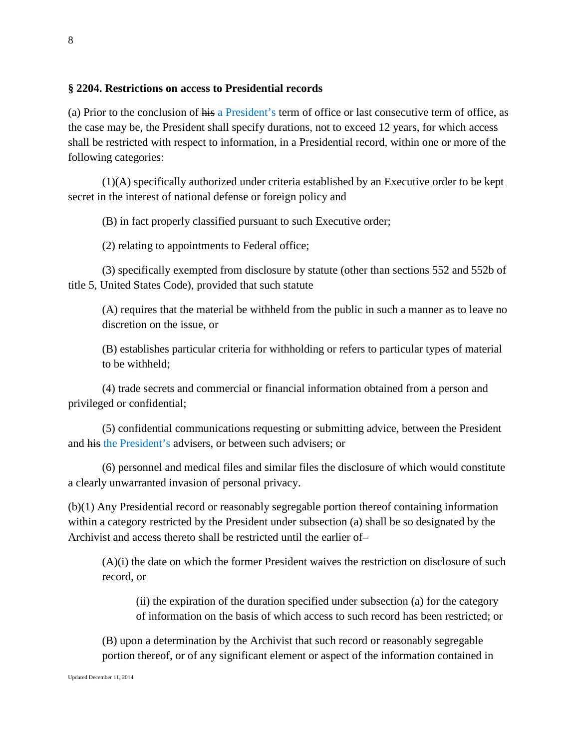### **§ 2204. Restrictions on access to Presidential records**

(a) Prior to the conclusion of his a President's term of office or last consecutive term of office, as the case may be, the President shall specify durations, not to exceed 12 years, for which access shall be restricted with respect to information, in a Presidential record, within one or more of the following categories:

(1)(A) specifically authorized under criteria established by an Executive order to be kept secret in the interest of national defense or foreign policy and

(B) in fact properly classified pursuant to such Executive order;

(2) relating to appointments to Federal office;

(3) specifically exempted from disclosure by statute (other than sections 552 and 552b of title 5, United States Code), provided that such statute

(A) requires that the material be withheld from the public in such a manner as to leave no discretion on the issue, or

(B) establishes particular criteria for withholding or refers to particular types of material to be withheld;

(4) trade secrets and commercial or financial information obtained from a person and privileged or confidential;

(5) confidential communications requesting or submitting advice, between the President and his the President's advisers, or between such advisers; or

(6) personnel and medical files and similar files the disclosure of which would constitute a clearly unwarranted invasion of personal privacy.

(b)(1) Any Presidential record or reasonably segregable portion thereof containing information within a category restricted by the President under subsection (a) shall be so designated by the Archivist and access thereto shall be restricted until the earlier of–

(A)(i) the date on which the former President waives the restriction on disclosure of such record, or

(ii) the expiration of the duration specified under subsection (a) for the category of information on the basis of which access to such record has been restricted; or

(B) upon a determination by the Archivist that such record or reasonably segregable portion thereof, or of any significant element or aspect of the information contained in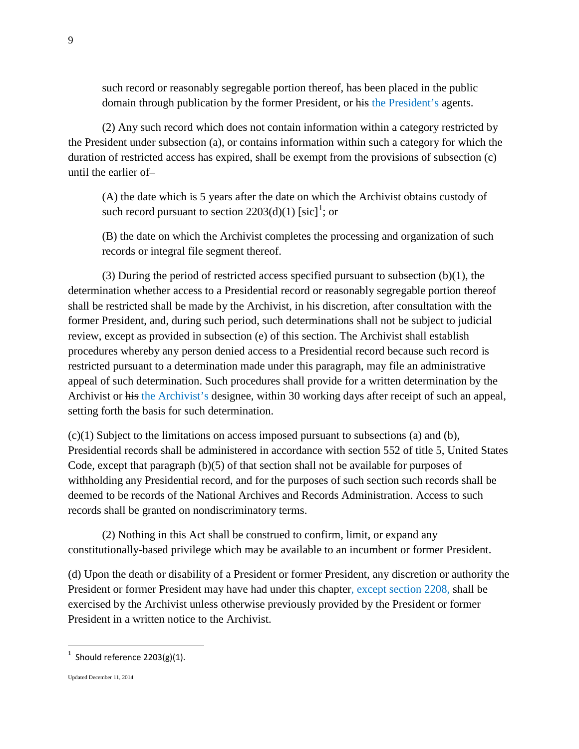such record or reasonably segregable portion thereof, has been placed in the public domain through publication by the former President, or his the President's agents.

(2) Any such record which does not contain information within a category restricted by the President under subsection (a), or contains information within such a category for which the duration of restricted access has expired, shall be exempt from the provisions of subsection (c) until the earlier of–

(A) the date which is 5 years after the date on which the Archivist obtains custody of such record pursuant to section  $2203(d)(1)$  $2203(d)(1)$  $2203(d)(1)$  [sic]<sup>1</sup>; or

(B) the date on which the Archivist completes the processing and organization of such records or integral file segment thereof.

(3) During the period of restricted access specified pursuant to subsection (b)(1), the determination whether access to a Presidential record or reasonably segregable portion thereof shall be restricted shall be made by the Archivist, in his discretion, after consultation with the former President, and, during such period, such determinations shall not be subject to judicial review, except as provided in subsection (e) of this section. The Archivist shall establish procedures whereby any person denied access to a Presidential record because such record is restricted pursuant to a determination made under this paragraph, may file an administrative appeal of such determination. Such procedures shall provide for a written determination by the Archivist or his the Archivist's designee, within 30 working days after receipt of such an appeal, setting forth the basis for such determination.

 $(c)(1)$  Subject to the limitations on access imposed pursuant to subsections (a) and (b), Presidential records shall be administered in accordance with section 552 of title 5, United States Code, except that paragraph (b)(5) of that section shall not be available for purposes of withholding any Presidential record, and for the purposes of such section such records shall be deemed to be records of the National Archives and Records Administration. Access to such records shall be granted on nondiscriminatory terms.

(2) Nothing in this Act shall be construed to confirm, limit, or expand any constitutionally-based privilege which may be available to an incumbent or former President.

(d) Upon the death or disability of a President or former President, any discretion or authority the President or former President may have had under this chapter, except section 2208, shall be exercised by the Archivist unless otherwise previously provided by the President or former President in a written notice to the Archivist.

Updated December 11, 2014

<span id="page-8-0"></span> $\frac{1}{1}$  $1$  Should reference 2203(g)(1).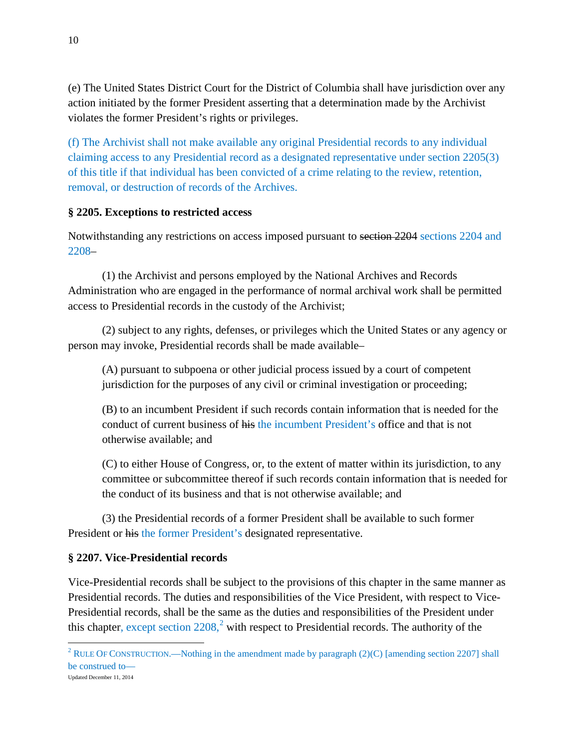(e) The United States District Court for the District of Columbia shall have jurisdiction over any action initiated by the former President asserting that a determination made by the Archivist violates the former President's rights or privileges.

(f) The Archivist shall not make available any original Presidential records to any individual claiming access to any Presidential record as a designated representative under section 2205(3) of this title if that individual has been convicted of a crime relating to the review, retention, removal, or destruction of records of the Archives.

## **§ 2205. Exceptions to restricted access**

Notwithstanding any restrictions on access imposed pursuant to section 2204 sections 2204 and 2208–

(1) the Archivist and persons employed by the National Archives and Records Administration who are engaged in the performance of normal archival work shall be permitted access to Presidential records in the custody of the Archivist;

(2) subject to any rights, defenses, or privileges which the United States or any agency or person may invoke, Presidential records shall be made available–

(A) pursuant to subpoena or other judicial process issued by a court of competent jurisdiction for the purposes of any civil or criminal investigation or proceeding;

(B) to an incumbent President if such records contain information that is needed for the conduct of current business of his the incumbent President's office and that is not otherwise available; and

(C) to either House of Congress, or, to the extent of matter within its jurisdiction, to any committee or subcommittee thereof if such records contain information that is needed for the conduct of its business and that is not otherwise available; and

(3) the Presidential records of a former President shall be available to such former President or his the former President's designated representative.

### **§ 2207. Vice-Presidential records**

 $\overline{\phantom{a}}$ 

Vice-Presidential records shall be subject to the provisions of this chapter in the same manner as Presidential records. The duties and responsibilities of the Vice President, with respect to Vice-Presidential records, shall be the same as the duties and responsibilities of the President under this chapter, except section  $2208$  $2208$ ,  $\degree$  with respect to Presidential records. The authority of the

<span id="page-9-0"></span>Updated December 11, 2014 <sup>2</sup> RULE OF CONSTRUCTION.—Nothing in the amendment made by paragraph (2)(C) [amending section 2207] shall be construed to—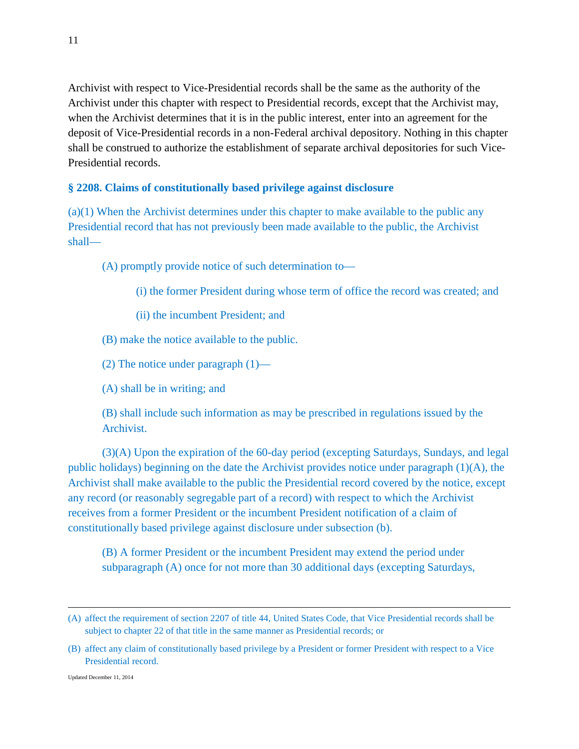Archivist with respect to Vice-Presidential records shall be the same as the authority of the Archivist under this chapter with respect to Presidential records, except that the Archivist may, when the Archivist determines that it is in the public interest, enter into an agreement for the deposit of Vice-Presidential records in a non-Federal archival depository. Nothing in this chapter shall be construed to authorize the establishment of separate archival depositories for such Vice-Presidential records.

#### **§ 2208. Claims of constitutionally based privilege against disclosure**

(a)(1) When the Archivist determines under this chapter to make available to the public any Presidential record that has not previously been made available to the public, the Archivist shall—

(A) promptly provide notice of such determination to—

(i) the former President during whose term of office the record was created; and

(ii) the incumbent President; and

(B) make the notice available to the public.

(2) The notice under paragraph  $(1)$ —

(A) shall be in writing; and

(B) shall include such information as may be prescribed in regulations issued by the Archivist.

(3)(A) Upon the expiration of the 60-day period (excepting Saturdays, Sundays, and legal public holidays) beginning on the date the Archivist provides notice under paragraph (1)(A), the Archivist shall make available to the public the Presidential record covered by the notice, except any record (or reasonably segregable part of a record) with respect to which the Archivist receives from a former President or the incumbent President notification of a claim of constitutionally based privilege against disclosure under subsection (b).

(B) A former President or the incumbent President may extend the period under subparagraph (A) once for not more than 30 additional days (excepting Saturdays,

l

<sup>(</sup>A) affect the requirement of section 2207 of title 44, United States Code, that Vice Presidential records shall be subject to chapter 22 of that title in the same manner as Presidential records; or

<sup>(</sup>B) affect any claim of constitutionally based privilege by a President or former President with respect to a Vice Presidential record.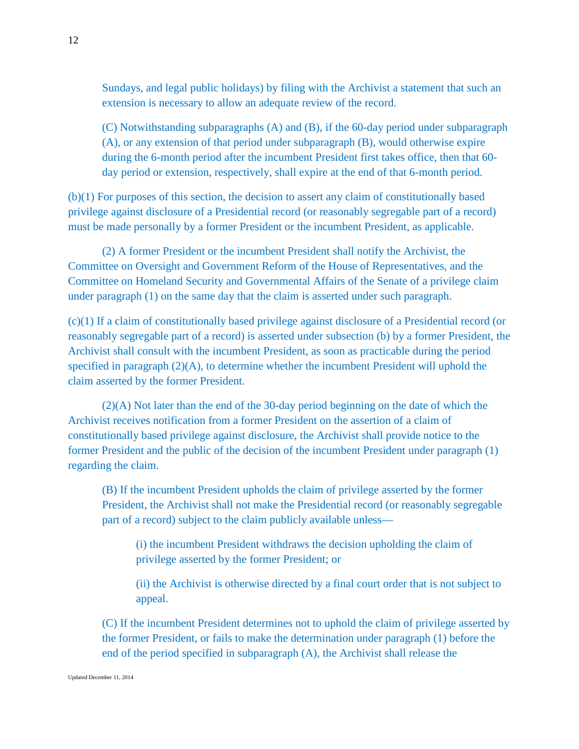Sundays, and legal public holidays) by filing with the Archivist a statement that such an extension is necessary to allow an adequate review of the record.

(C) Notwithstanding subparagraphs (A) and (B), if the 60-day period under subparagraph (A), or any extension of that period under subparagraph (B), would otherwise expire during the 6-month period after the incumbent President first takes office, then that 60 day period or extension, respectively, shall expire at the end of that 6-month period.

(b)(1) For purposes of this section, the decision to assert any claim of constitutionally based privilege against disclosure of a Presidential record (or reasonably segregable part of a record) must be made personally by a former President or the incumbent President, as applicable.

(2) A former President or the incumbent President shall notify the Archivist, the Committee on Oversight and Government Reform of the House of Representatives, and the Committee on Homeland Security and Governmental Affairs of the Senate of a privilege claim under paragraph (1) on the same day that the claim is asserted under such paragraph.

(c)(1) If a claim of constitutionally based privilege against disclosure of a Presidential record (or reasonably segregable part of a record) is asserted under subsection (b) by a former President, the Archivist shall consult with the incumbent President, as soon as practicable during the period specified in paragraph  $(2)(A)$ , to determine whether the incumbent President will uphold the claim asserted by the former President.

(2)(A) Not later than the end of the 30-day period beginning on the date of which the Archivist receives notification from a former President on the assertion of a claim of constitutionally based privilege against disclosure, the Archivist shall provide notice to the former President and the public of the decision of the incumbent President under paragraph (1) regarding the claim.

(B) If the incumbent President upholds the claim of privilege asserted by the former President, the Archivist shall not make the Presidential record (or reasonably segregable part of a record) subject to the claim publicly available unless—

(i) the incumbent President withdraws the decision upholding the claim of privilege asserted by the former President; or

(ii) the Archivist is otherwise directed by a final court order that is not subject to appeal.

(C) If the incumbent President determines not to uphold the claim of privilege asserted by the former President, or fails to make the determination under paragraph (1) before the end of the period specified in subparagraph (A), the Archivist shall release the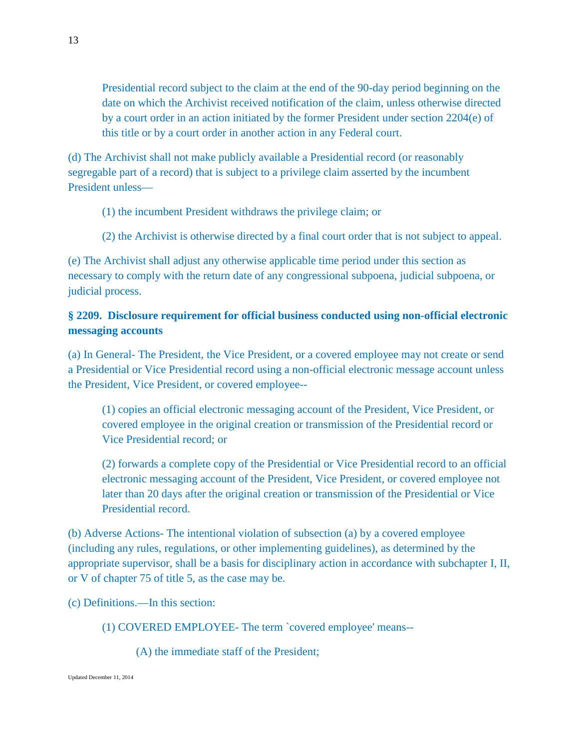Presidential record subject to the claim at the end of the 90-day period beginning on the date on which the Archivist received notification of the claim, unless otherwise directed by a court order in an action initiated by the former President under section 2204(e) of this title or by a court order in another action in any Federal court.

(d) The Archivist shall not make publicly available a Presidential record (or reasonably segregable part of a record) that is subject to a privilege claim asserted by the incumbent President unless—

- (1) the incumbent President withdraws the privilege claim; or
- (2) the Archivist is otherwise directed by a final court order that is not subject to appeal.

(e) The Archivist shall adjust any otherwise applicable time period under this section as necessary to comply with the return date of any congressional subpoena, judicial subpoena, or judicial process.

## **§ 2209. Disclosure requirement for official business conducted using non-official electronic messaging accounts**

(a) In General- The President, the Vice President, or a covered employee may not create or send a Presidential or Vice Presidential record using a non-official electronic message account unless the President, Vice President, or covered employee--

(1) copies an official electronic messaging account of the President, Vice President, or covered employee in the original creation or transmission of the Presidential record or Vice Presidential record; or

(2) forwards a complete copy of the Presidential or Vice Presidential record to an official electronic messaging account of the President, Vice President, or covered employee not later than 20 days after the original creation or transmission of the Presidential or Vice Presidential record.

(b) Adverse Actions- The intentional violation of subsection (a) by a covered employee (including any rules, regulations, or other implementing guidelines), as determined by the appropriate supervisor, shall be a basis for disciplinary action in accordance with subchapter I, II, or V of chapter 75 of title 5, as the case may be.

(c) Definitions.—In this section:

(1) COVERED EMPLOYEE- The term `covered employee' means--

(A) the immediate staff of the President;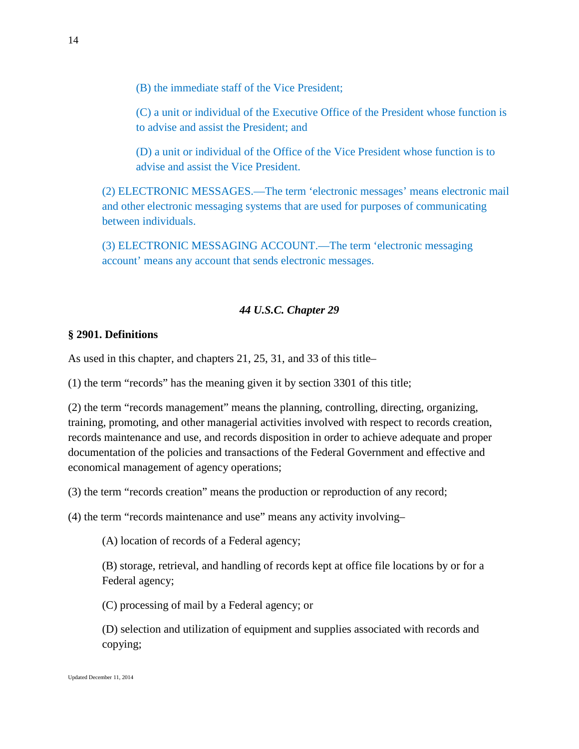(B) the immediate staff of the Vice President;

(C) a unit or individual of the Executive Office of the President whose function is to advise and assist the President; and

(D) a unit or individual of the Office of the Vice President whose function is to advise and assist the Vice President.

(2) ELECTRONIC MESSAGES.—The term 'electronic messages' means electronic mail and other electronic messaging systems that are used for purposes of communicating between individuals.

(3) ELECTRONIC MESSAGING ACCOUNT.—The term 'electronic messaging account' means any account that sends electronic messages.

#### *44 U.S.C. Chapter 29*

#### **§ 2901. Definitions**

As used in this chapter, and chapters 21, 25, 31, and 33 of this title–

(1) the term "records" has the meaning given it by section 3301 of this title;

(2) the term "records management" means the planning, controlling, directing, organizing, training, promoting, and other managerial activities involved with respect to records creation, records maintenance and use, and records disposition in order to achieve adequate and proper documentation of the policies and transactions of the Federal Government and effective and economical management of agency operations;

(3) the term "records creation" means the production or reproduction of any record;

(4) the term "records maintenance and use" means any activity involving–

(A) location of records of a Federal agency;

(B) storage, retrieval, and handling of records kept at office file locations by or for a Federal agency;

(C) processing of mail by a Federal agency; or

(D) selection and utilization of equipment and supplies associated with records and copying;

14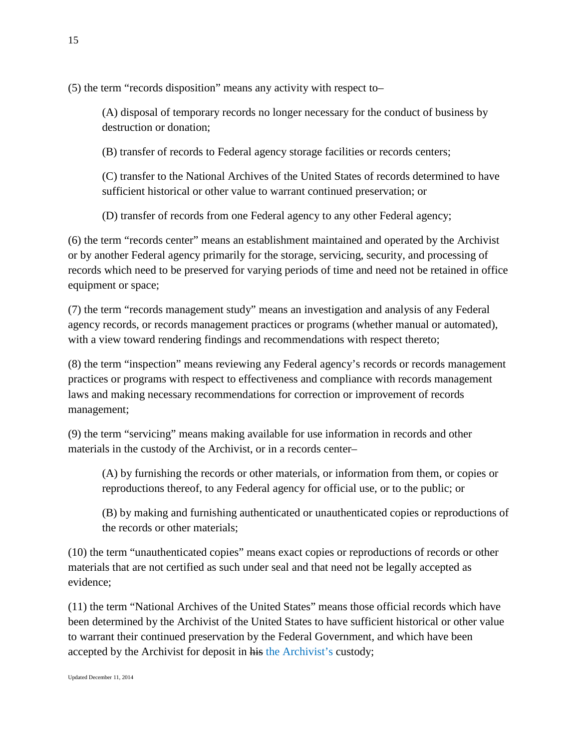(5) the term "records disposition" means any activity with respect to–

(A) disposal of temporary records no longer necessary for the conduct of business by destruction or donation;

(B) transfer of records to Federal agency storage facilities or records centers;

(C) transfer to the National Archives of the United States of records determined to have sufficient historical or other value to warrant continued preservation; or

(D) transfer of records from one Federal agency to any other Federal agency;

(6) the term "records center" means an establishment maintained and operated by the Archivist or by another Federal agency primarily for the storage, servicing, security, and processing of records which need to be preserved for varying periods of time and need not be retained in office equipment or space;

(7) the term "records management study" means an investigation and analysis of any Federal agency records, or records management practices or programs (whether manual or automated), with a view toward rendering findings and recommendations with respect thereto;

(8) the term "inspection" means reviewing any Federal agency's records or records management practices or programs with respect to effectiveness and compliance with records management laws and making necessary recommendations for correction or improvement of records management;

(9) the term "servicing" means making available for use information in records and other materials in the custody of the Archivist, or in a records center–

(A) by furnishing the records or other materials, or information from them, or copies or reproductions thereof, to any Federal agency for official use, or to the public; or

(B) by making and furnishing authenticated or unauthenticated copies or reproductions of the records or other materials;

(10) the term "unauthenticated copies" means exact copies or reproductions of records or other materials that are not certified as such under seal and that need not be legally accepted as evidence;

(11) the term "National Archives of the United States" means those official records which have been determined by the Archivist of the United States to have sufficient historical or other value to warrant their continued preservation by the Federal Government, and which have been accepted by the Archivist for deposit in his the Archivist's custody;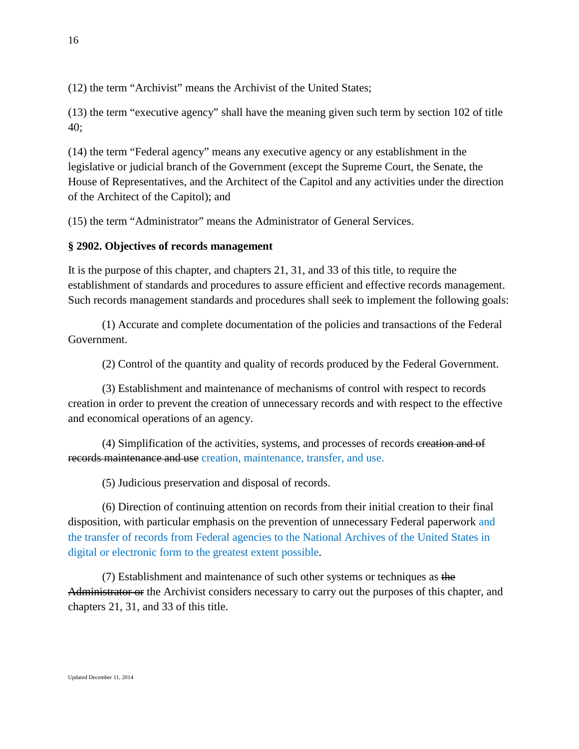(12) the term "Archivist" means the Archivist of the United States;

(13) the term "executive agency" shall have the meaning given such term by section 102 of title 40;

(14) the term "Federal agency" means any executive agency or any establishment in the legislative or judicial branch of the Government (except the Supreme Court, the Senate, the House of Representatives, and the Architect of the Capitol and any activities under the direction of the Architect of the Capitol); and

(15) the term "Administrator" means the Administrator of General Services.

## **§ 2902. Objectives of records management**

It is the purpose of this chapter, and chapters 21, 31, and 33 of this title, to require the establishment of standards and procedures to assure efficient and effective records management. Such records management standards and procedures shall seek to implement the following goals:

(1) Accurate and complete documentation of the policies and transactions of the Federal Government.

(2) Control of the quantity and quality of records produced by the Federal Government.

(3) Establishment and maintenance of mechanisms of control with respect to records creation in order to prevent the creation of unnecessary records and with respect to the effective and economical operations of an agency.

(4) Simplification of the activities, systems, and processes of records creation and of records maintenance and use creation, maintenance, transfer, and use.

(5) Judicious preservation and disposal of records.

(6) Direction of continuing attention on records from their initial creation to their final disposition, with particular emphasis on the prevention of unnecessary Federal paperwork and the transfer of records from Federal agencies to the National Archives of the United States in digital or electronic form to the greatest extent possible.

(7) Establishment and maintenance of such other systems or techniques as the Administrator or the Archivist considers necessary to carry out the purposes of this chapter, and chapters 21, 31, and 33 of this title.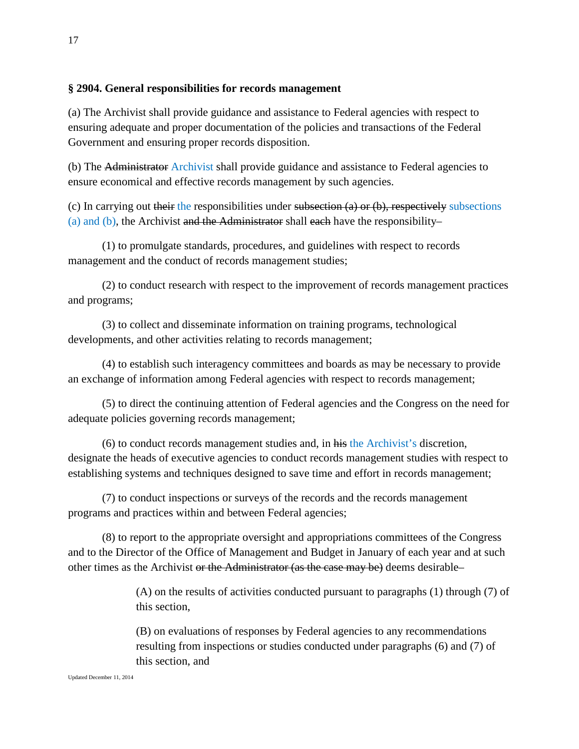### **§ 2904. General responsibilities for records management**

(a) The Archivist shall provide guidance and assistance to Federal agencies with respect to ensuring adequate and proper documentation of the policies and transactions of the Federal Government and ensuring proper records disposition.

(b) The Administrator Archivist shall provide guidance and assistance to Federal agencies to ensure economical and effective records management by such agencies.

(c) In carrying out their the responsibilities under subsection (a) or (b), respectively subsections (a) and (b), the Archivist and the Administrator shall each have the responsibility–

(1) to promulgate standards, procedures, and guidelines with respect to records management and the conduct of records management studies;

(2) to conduct research with respect to the improvement of records management practices and programs;

(3) to collect and disseminate information on training programs, technological developments, and other activities relating to records management;

(4) to establish such interagency committees and boards as may be necessary to provide an exchange of information among Federal agencies with respect to records management;

(5) to direct the continuing attention of Federal agencies and the Congress on the need for adequate policies governing records management;

(6) to conduct records management studies and, in his the Archivist's discretion, designate the heads of executive agencies to conduct records management studies with respect to establishing systems and techniques designed to save time and effort in records management;

(7) to conduct inspections or surveys of the records and the records management programs and practices within and between Federal agencies;

(8) to report to the appropriate oversight and appropriations committees of the Congress and to the Director of the Office of Management and Budget in January of each year and at such other times as the Archivist or the Administrator (as the case may be) deems desirable–

> (A) on the results of activities conducted pursuant to paragraphs (1) through (7) of this section,

(B) on evaluations of responses by Federal agencies to any recommendations resulting from inspections or studies conducted under paragraphs (6) and (7) of this section, and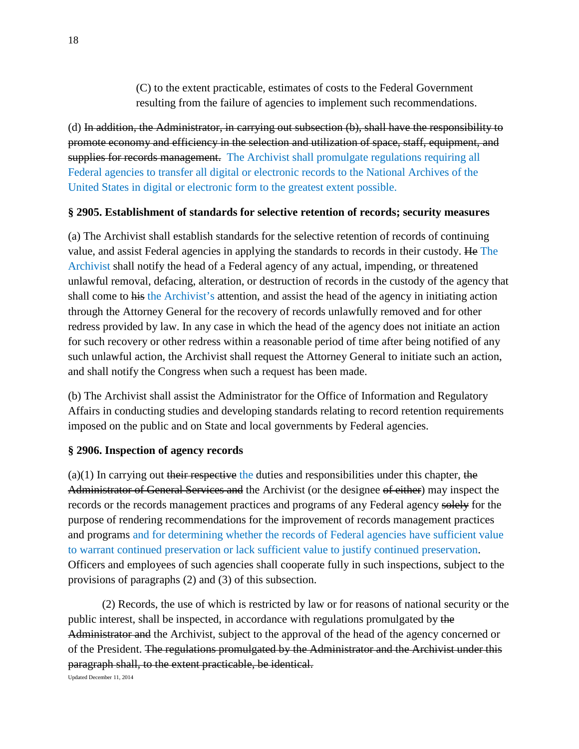(C) to the extent practicable, estimates of costs to the Federal Government resulting from the failure of agencies to implement such recommendations.

(d) In addition, the Administrator, in carrying out subsection (b), shall have the responsibility to promote economy and efficiency in the selection and utilization of space, staff, equipment, and supplies for records management. The Archivist shall promulgate regulations requiring all Federal agencies to transfer all digital or electronic records to the National Archives of the United States in digital or electronic form to the greatest extent possible.

#### **§ 2905. Establishment of standards for selective retention of records; security measures**

(a) The Archivist shall establish standards for the selective retention of records of continuing value, and assist Federal agencies in applying the standards to records in their custody. He The Archivist shall notify the head of a Federal agency of any actual, impending, or threatened unlawful removal, defacing, alteration, or destruction of records in the custody of the agency that shall come to his the Archivist's attention, and assist the head of the agency in initiating action through the Attorney General for the recovery of records unlawfully removed and for other redress provided by law. In any case in which the head of the agency does not initiate an action for such recovery or other redress within a reasonable period of time after being notified of any such unlawful action, the Archivist shall request the Attorney General to initiate such an action, and shall notify the Congress when such a request has been made.

(b) The Archivist shall assist the Administrator for the Office of Information and Regulatory Affairs in conducting studies and developing standards relating to record retention requirements imposed on the public and on State and local governments by Federal agencies.

### **§ 2906. Inspection of agency records**

 $(a)(1)$  In carrying out their respective the duties and responsibilities under this chapter, the Administrator of General Services and the Archivist (or the designee of either) may inspect the records or the records management practices and programs of any Federal agency solely for the purpose of rendering recommendations for the improvement of records management practices and programs and for determining whether the records of Federal agencies have sufficient value to warrant continued preservation or lack sufficient value to justify continued preservation. Officers and employees of such agencies shall cooperate fully in such inspections, subject to the provisions of paragraphs (2) and (3) of this subsection.

(2) Records, the use of which is restricted by law or for reasons of national security or the public interest, shall be inspected, in accordance with regulations promulgated by the Administrator and the Archivist, subject to the approval of the head of the agency concerned or of the President. The regulations promulgated by the Administrator and the Archivist under this paragraph shall, to the extent practicable, be identical.

Updated December 11, 2014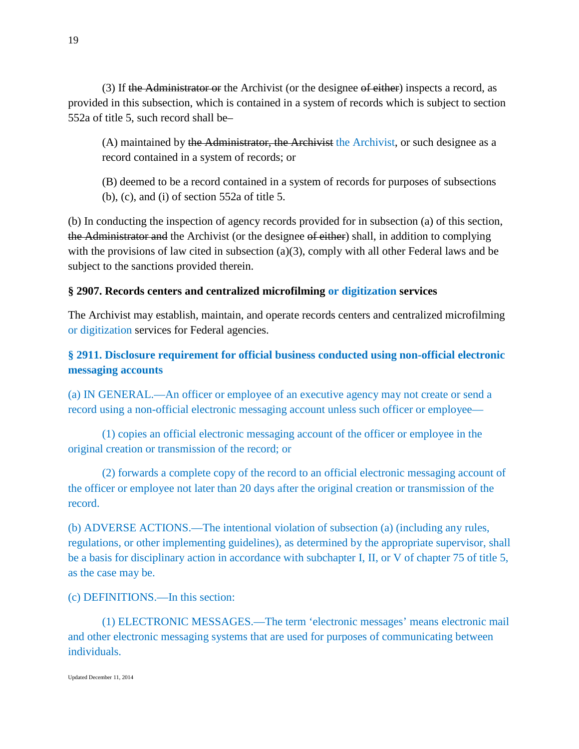(3) If the Administrator or the Archivist (or the designee of either) inspects a record, as provided in this subsection, which is contained in a system of records which is subject to section 552a of title 5, such record shall be–

(A) maintained by the Administrator, the Archivist the Archivist, or such designee as a record contained in a system of records; or

(B) deemed to be a record contained in a system of records for purposes of subsections (b), (c), and (i) of section 552a of title 5.

(b) In conducting the inspection of agency records provided for in subsection (a) of this section, the Administrator and the Archivist (or the designee of either) shall, in addition to complying with the provisions of law cited in subsection (a)(3), comply with all other Federal laws and be subject to the sanctions provided therein.

## **§ 2907. Records centers and centralized microfilming or digitization services**

The Archivist may establish, maintain, and operate records centers and centralized microfilming or digitization services for Federal agencies.

# **§ 2911. Disclosure requirement for official business conducted using non-official electronic messaging accounts**

(a) IN GENERAL.—An officer or employee of an executive agency may not create or send a record using a non-official electronic messaging account unless such officer or employee—

(1) copies an official electronic messaging account of the officer or employee in the original creation or transmission of the record; or

(2) forwards a complete copy of the record to an official electronic messaging account of the officer or employee not later than 20 days after the original creation or transmission of the record.

(b) ADVERSE ACTIONS.—The intentional violation of subsection (a) (including any rules, regulations, or other implementing guidelines), as determined by the appropriate supervisor, shall be a basis for disciplinary action in accordance with subchapter I, II, or V of chapter 75 of title 5, as the case may be.

(c) DEFINITIONS.—In this section:

(1) ELECTRONIC MESSAGES.—The term 'electronic messages' means electronic mail and other electronic messaging systems that are used for purposes of communicating between individuals.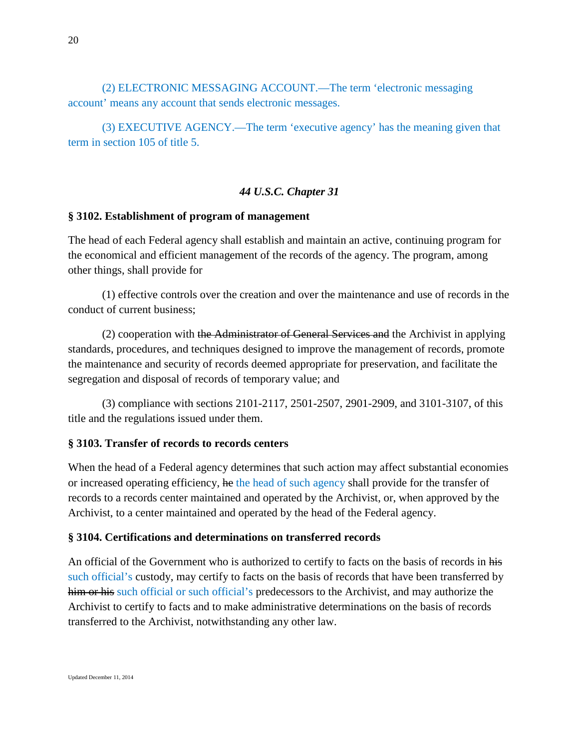(2) ELECTRONIC MESSAGING ACCOUNT.—The term 'electronic messaging account' means any account that sends electronic messages.

(3) EXECUTIVE AGENCY.—The term 'executive agency' has the meaning given that term in section 105 of title 5.

### *44 U.S.C. Chapter 31*

#### **§ 3102. Establishment of program of management**

The head of each Federal agency shall establish and maintain an active, continuing program for the economical and efficient management of the records of the agency. The program, among other things, shall provide for

(1) effective controls over the creation and over the maintenance and use of records in the conduct of current business;

(2) cooperation with the Administrator of General Services and the Archivist in applying standards, procedures, and techniques designed to improve the management of records, promote the maintenance and security of records deemed appropriate for preservation, and facilitate the segregation and disposal of records of temporary value; and

(3) compliance with sections 2101-2117, 2501-2507, 2901-2909, and 3101-3107, of this title and the regulations issued under them.

#### **§ 3103. Transfer of records to records centers**

When the head of a Federal agency determines that such action may affect substantial economies or increased operating efficiency, he the head of such agency shall provide for the transfer of records to a records center maintained and operated by the Archivist, or, when approved by the Archivist, to a center maintained and operated by the head of the Federal agency.

### **§ 3104. Certifications and determinations on transferred records**

An official of the Government who is authorized to certify to facts on the basis of records in his such official's custody, may certify to facts on the basis of records that have been transferred by him or his such official or such official's predecessors to the Archivist, and may authorize the Archivist to certify to facts and to make administrative determinations on the basis of records transferred to the Archivist, notwithstanding any other law.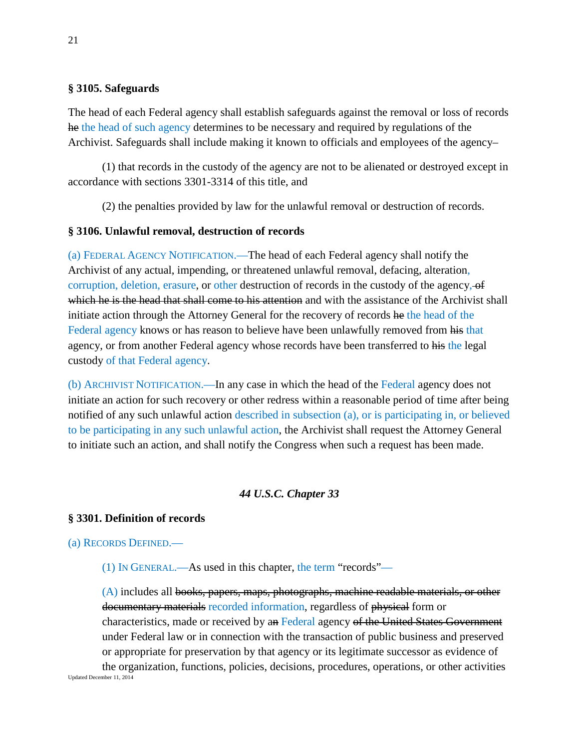#### **§ 3105. Safeguards**

The head of each Federal agency shall establish safeguards against the removal or loss of records he the head of such agency determines to be necessary and required by regulations of the Archivist. Safeguards shall include making it known to officials and employees of the agency–

(1) that records in the custody of the agency are not to be alienated or destroyed except in accordance with sections 3301-3314 of this title, and

(2) the penalties provided by law for the unlawful removal or destruction of records.

## **§ 3106. Unlawful removal, destruction of records**

(a) FEDERAL AGENCY NOTIFICATION.—The head of each Federal agency shall notify the Archivist of any actual, impending, or threatened unlawful removal, defacing, alteration, corruption, deletion, erasure, or other destruction of records in the custody of the agency, of which he is the head that shall come to his attention and with the assistance of the Archivist shall initiate action through the Attorney General for the recovery of records he the head of the Federal agency knows or has reason to believe have been unlawfully removed from his that agency, or from another Federal agency whose records have been transferred to his the legal custody of that Federal agency.

(b) ARCHIVIST NOTIFICATION.—In any case in which the head of the Federal agency does not initiate an action for such recovery or other redress within a reasonable period of time after being notified of any such unlawful action described in subsection (a), or is participating in, or believed to be participating in any such unlawful action, the Archivist shall request the Attorney General to initiate such an action, and shall notify the Congress when such a request has been made.

## *44 U.S.C. Chapter 33*

### **§ 3301. Definition of records**

(a) RECORDS DEFINED.—

(1) IN GENERAL.—As used in this chapter, the term "records"—

(A) includes all books, papers, maps, photographs, machine readable materials, or other documentary materials recorded information, regardless of physical form or characteristics, made or received by an Federal agency of the United States Government under Federal law or in connection with the transaction of public business and preserved or appropriate for preservation by that agency or its legitimate successor as evidence of

Updated December 11, 2014 the organization, functions, policies, decisions, procedures, operations, or other activities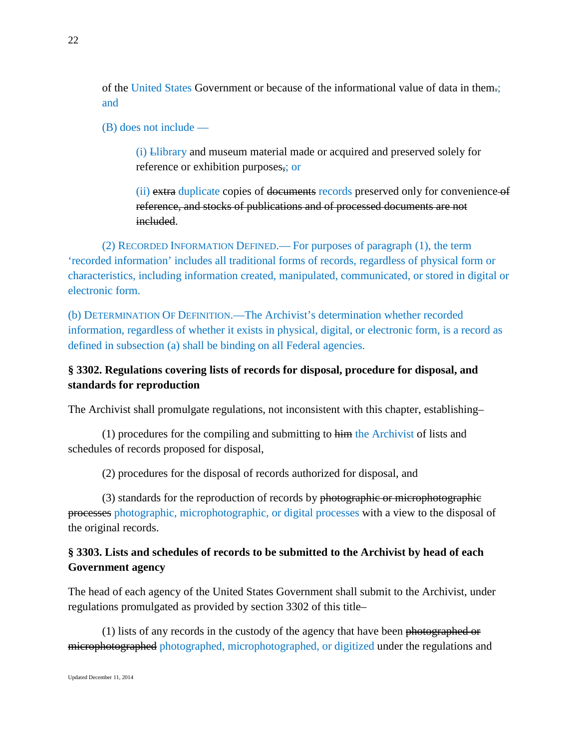of the United States Government or because of the informational value of data in them.; and

(B) does not include —

(i) Llibrary and museum material made or acquired and preserved solely for reference or exhibition purposes,; or

(ii) extra duplicate copies of documents records preserved only for convenience of reference, and stocks of publications and of processed documents are not included.

(2) RECORDED INFORMATION DEFINED.— For purposes of paragraph (1), the term 'recorded information' includes all traditional forms of records, regardless of physical form or characteristics, including information created, manipulated, communicated, or stored in digital or electronic form.

(b) DETERMINATION OF DEFINITION.—The Archivist's determination whether recorded information, regardless of whether it exists in physical, digital, or electronic form, is a record as defined in subsection (a) shall be binding on all Federal agencies.

## **§ 3302. Regulations covering lists of records for disposal, procedure for disposal, and standards for reproduction**

The Archivist shall promulgate regulations, not inconsistent with this chapter, establishing–

 $(1)$  procedures for the compiling and submitting to him the Archivist of lists and schedules of records proposed for disposal,

(2) procedures for the disposal of records authorized for disposal, and

(3) standards for the reproduction of records by photographic or microphotographic processes photographic, microphotographic, or digital processes with a view to the disposal of the original records.

# **§ 3303. Lists and schedules of records to be submitted to the Archivist by head of each Government agency**

The head of each agency of the United States Government shall submit to the Archivist, under regulations promulgated as provided by section 3302 of this title–

(1) lists of any records in the custody of the agency that have been <del>photographed or</del> microphotographed photographed, microphotographed, or digitized under the regulations and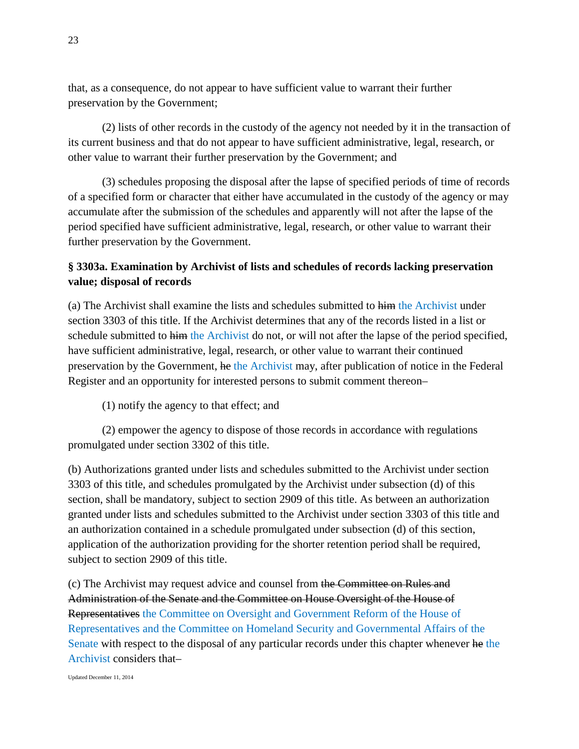that, as a consequence, do not appear to have sufficient value to warrant their further preservation by the Government;

(2) lists of other records in the custody of the agency not needed by it in the transaction of its current business and that do not appear to have sufficient administrative, legal, research, or other value to warrant their further preservation by the Government; and

(3) schedules proposing the disposal after the lapse of specified periods of time of records of a specified form or character that either have accumulated in the custody of the agency or may accumulate after the submission of the schedules and apparently will not after the lapse of the period specified have sufficient administrative, legal, research, or other value to warrant their further preservation by the Government.

## **§ 3303a. Examination by Archivist of lists and schedules of records lacking preservation value; disposal of records**

(a) The Archivist shall examine the lists and schedules submitted to him the Archivist under section 3303 of this title. If the Archivist determines that any of the records listed in a list or schedule submitted to him the Archivist do not, or will not after the lapse of the period specified, have sufficient administrative, legal, research, or other value to warrant their continued preservation by the Government, he the Archivist may, after publication of notice in the Federal Register and an opportunity for interested persons to submit comment thereon–

(1) notify the agency to that effect; and

(2) empower the agency to dispose of those records in accordance with regulations promulgated under section 3302 of this title.

(b) Authorizations granted under lists and schedules submitted to the Archivist under section 3303 of this title, and schedules promulgated by the Archivist under subsection (d) of this section, shall be mandatory, subject to section 2909 of this title. As between an authorization granted under lists and schedules submitted to the Archivist under section 3303 of this title and an authorization contained in a schedule promulgated under subsection (d) of this section, application of the authorization providing for the shorter retention period shall be required, subject to section 2909 of this title.

(c) The Archivist may request advice and counsel from the Committee on Rules and Administration of the Senate and the Committee on House Oversight of the House of Representatives the Committee on Oversight and Government Reform of the House of Representatives and the Committee on Homeland Security and Governmental Affairs of the Senate with respect to the disposal of any particular records under this chapter whenever he the Archivist considers that–